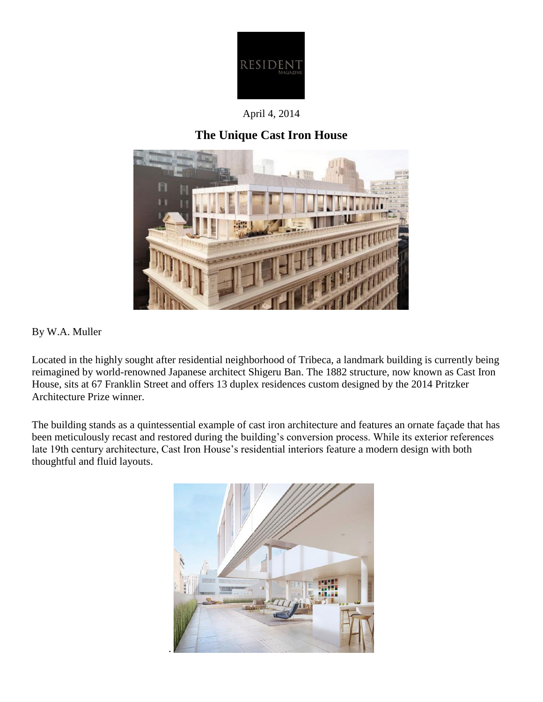

April 4, 2014

## **The Unique Cast Iron House**



By W.A. Muller

Located in the highly sought after residential neighborhood of Tribeca, a landmark building is currently being reimagined by world-renowned Japanese architect Shigeru Ban. The 1882 structure, now known as Cast Iron House, sits at 67 Franklin Street and offers 13 duplex residences custom designed by the 2014 Pritzker Architecture Prize winner.

The building stands as a quintessential example of cast iron architecture and features an ornate façade that has been meticulously recast and restored during the building's conversion process. While its exterior references late 19th century architecture, Cast Iron House's residential interiors feature a modern design with both thoughtful and fluid layouts.